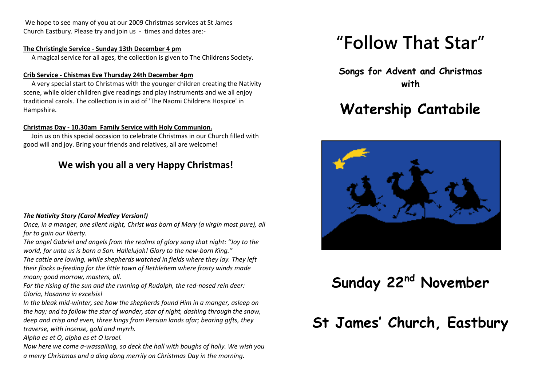We hope to see many of you at our 2009 Christmas services at St James Church Eastbury. Please try and join us - times and dates are:-

#### **The Christingle Service - Sunday 13th December 4 pm**

A magical service for all ages, the collection is given to The Childrens Society.

### **Crib Service - Chistmas Eve Thursday 24th December 4pm**

 A very special start to Christmas with the younger children creating the Nativity scene, while older children give readings and play instruments and we all enjoy traditional carols. The collection is in aid of 'The Naomi Childrens Hospice' in Hampshire.

### **Christmas Day - 10.30am Family Service with Holy Communion.**

 Join us on this special occasion to celebrate Christmas in our Church filled with good will and joy. Bring your friends and relatives, all are welcome!

### **We wish you all a very Happy Christmas!**

### *The Nativity Story (Carol Medley Version!)*

*Once, in a manger, one silent night, Christ was born of Mary (a virgin most pure), all for to gain our liberty.*

*The angel Gabriel and angels from the realms of glory sang that night: "Joy to the world, for unto us is born a Son. Hallelujah! Glory to the new-born King."*

*The cattle are lowing, while shepherds watched in fields where they lay. They left their flocks a-feeding for the little town of Bethlehem where frosty winds made moan; good morrow, masters, all.* 

*For the rising of the sun and the running of Rudolph, the red-nosed rein deer: Gloria, Hosanna in excelsis!*

*In the bleak mid-winter, see how the shepherds found Him in a manger, asleep on the hay; and to follow the star of wonder, star of night, dashing through the snow, deep and crisp and even, three kings from Persian lands afar; bearing gifts, they traverse, with incense, gold and myrrh.*

*Alpha es et O, alpha es et O Israel.*

*Now here we come a-wassailing, so deck the hall with boughs of holly. We wish you a merry Christmas and a ding dong merrily on Christmas Day in the morning.*

# **"Follow That Star"**

**Songs for Advent and Christmas with**

# **Watership Cantabile**



**Sunday 22nd November**

**St James' Church, Eastbury**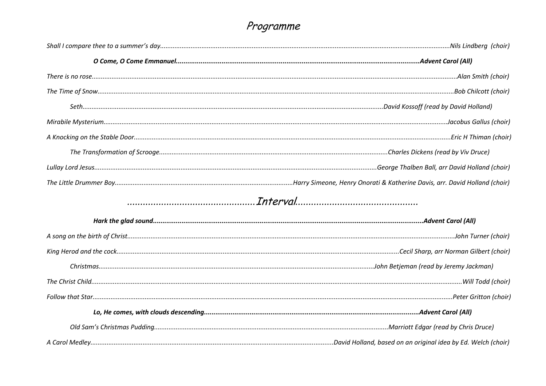## Programme

| Interval |  |
|----------|--|
|          |  |
|          |  |
|          |  |
|          |  |
|          |  |
|          |  |
|          |  |
|          |  |
|          |  |